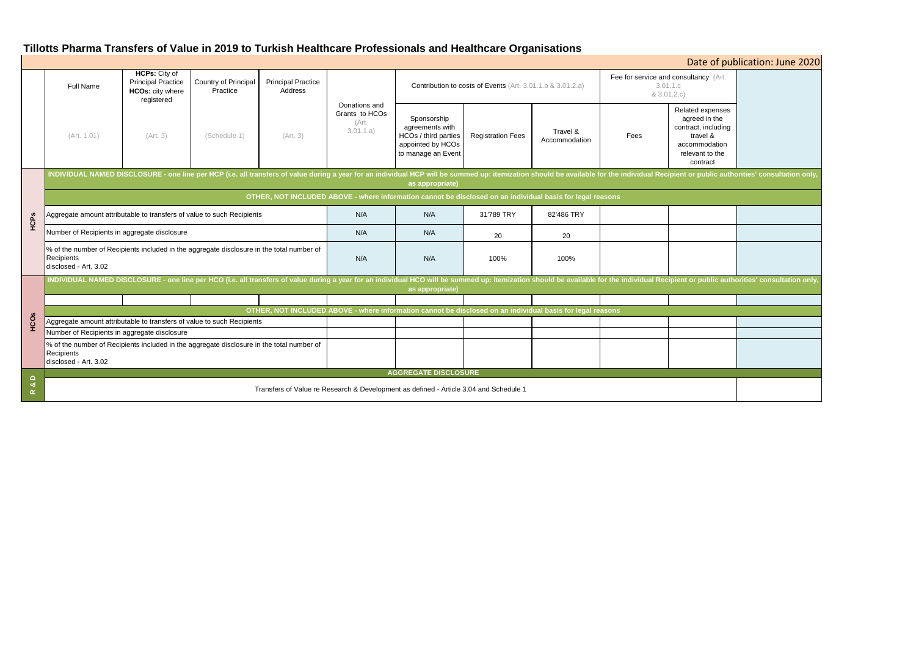# **Tillotts Pharma Transfers of Value in 2019 to Turkish Healthcare Professionals and Healthcare Organisations**

| Date of publication: June 2020                                                                                      |                                                                                                                                                                                                                                                   |                                                                                            |                                  |                                      |                                                       |                                                                                                   |                          |                           |                                                                  |                                                                                                                      |  |
|---------------------------------------------------------------------------------------------------------------------|---------------------------------------------------------------------------------------------------------------------------------------------------------------------------------------------------------------------------------------------------|--------------------------------------------------------------------------------------------|----------------------------------|--------------------------------------|-------------------------------------------------------|---------------------------------------------------------------------------------------------------|--------------------------|---------------------------|------------------------------------------------------------------|----------------------------------------------------------------------------------------------------------------------|--|
|                                                                                                                     | <b>Full Name</b>                                                                                                                                                                                                                                  | <b>HCPs: City of</b><br><b>Principal Practice</b><br><b>HCOs: city where</b><br>registered | Country of Principal<br>Practice | <b>Principal Practice</b><br>Address |                                                       | Contribution to costs of Events (Art. 3.01.1.b & 3.01.2.a)                                        |                          |                           | Fee for service and consultancy (Art.<br>3.01.1.c<br>& 3.01.2.c) |                                                                                                                      |  |
|                                                                                                                     | (Art. 1.01)                                                                                                                                                                                                                                       | (Art. 3)                                                                                   | (Schedule 1)                     | (Art. 3)                             | Donations and<br>Grants to HCOs<br>(Art.<br>3.01.1.a) | Sponsorship<br>agreements with<br>HCOs / third parties<br>appointed by HCOs<br>to manage an Event | <b>Registration Fees</b> | Travel &<br>Accommodation | Fees                                                             | Related expenses<br>agreed in the<br>contract, including<br>travel &<br>accommodation<br>relevant to the<br>contract |  |
| HCPS                                                                                                                | INDIVIDUAL NAMED DISCLOSURE - one line per HCP (i.e. all transfers of value during a year for an individual HCP will be summed up: itemization should be available for the individual Recipient or public authorities' consult<br>as appropriate) |                                                                                            |                                  |                                      |                                                       |                                                                                                   |                          |                           |                                                                  |                                                                                                                      |  |
|                                                                                                                     | OTHER, NOT INCLUDED ABOVE - where information cannot be disclosed on an individual basis for legal reasons                                                                                                                                        |                                                                                            |                                  |                                      |                                                       |                                                                                                   |                          |                           |                                                                  |                                                                                                                      |  |
|                                                                                                                     | Aggregate amount attributable to transfers of value to such Recipients                                                                                                                                                                            |                                                                                            |                                  |                                      | N/A                                                   | N/A                                                                                               | 31'789 TRY               | 82'486 TRY                |                                                                  |                                                                                                                      |  |
|                                                                                                                     | Number of Recipients in aggregate disclosure                                                                                                                                                                                                      |                                                                                            |                                  |                                      | N/A                                                   | N/A                                                                                               | 20                       | 20                        |                                                                  |                                                                                                                      |  |
|                                                                                                                     | % of the number of Recipients included in the aggregate disclosure in the total number of<br>Recipients<br>disclosed - Art. 3.02                                                                                                                  |                                                                                            |                                  |                                      | N/A                                                   | N/A                                                                                               | 100%                     | 100%                      |                                                                  |                                                                                                                      |  |
| HCOS                                                                                                                | NDIVIDUAL NAMED DISCLOSURE - one line per HCO (i.e. all transfers of value during a year for an individual HCO will be summed up: itemization should be available for the individual Recipient or public authorities' consulta<br>as appropriate) |                                                                                            |                                  |                                      |                                                       |                                                                                                   |                          |                           |                                                                  |                                                                                                                      |  |
|                                                                                                                     |                                                                                                                                                                                                                                                   |                                                                                            |                                  |                                      |                                                       |                                                                                                   |                          |                           |                                                                  |                                                                                                                      |  |
|                                                                                                                     | OTHER, NOT INCLUDED ABOVE - where information cannot be disclosed on an individual basis for legal reasons                                                                                                                                        |                                                                                            |                                  |                                      |                                                       |                                                                                                   |                          |                           |                                                                  |                                                                                                                      |  |
|                                                                                                                     | Aggregate amount attributable to transfers of value to such Recipients                                                                                                                                                                            |                                                                                            |                                  |                                      |                                                       |                                                                                                   |                          |                           |                                                                  |                                                                                                                      |  |
|                                                                                                                     | Number of Recipients in aggregate disclosure                                                                                                                                                                                                      |                                                                                            |                                  |                                      |                                                       |                                                                                                   |                          |                           |                                                                  |                                                                                                                      |  |
|                                                                                                                     | % of the number of Recipients included in the aggregate disclosure in the total number of<br>Recipients<br>disclosed - Art. 3.02                                                                                                                  |                                                                                            |                                  |                                      |                                                       |                                                                                                   |                          |                           |                                                                  |                                                                                                                      |  |
|                                                                                                                     | <b>AGGREGATE DISCLOSURE</b>                                                                                                                                                                                                                       |                                                                                            |                                  |                                      |                                                       |                                                                                                   |                          |                           |                                                                  |                                                                                                                      |  |
| $\Omega$<br>ಹ<br>Transfers of Value re Research & Development as defined - Article 3.04 and Schedule 1<br>$\propto$ |                                                                                                                                                                                                                                                   |                                                                                            |                                  |                                      |                                                       |                                                                                                   |                          |                           |                                                                  |                                                                                                                      |  |